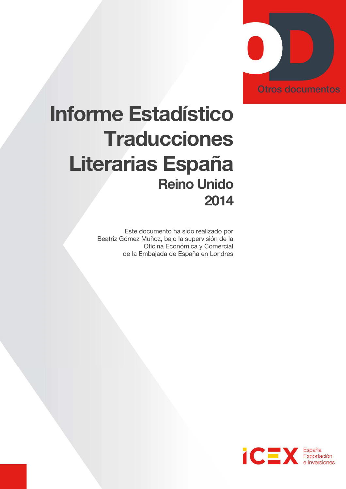

# Informe Estadístico **Traducciones** Literarias España Reino Unido 2014

Este documento ha sido realizado por Beatriz Gómez Muñoz, bajo la supervisión de la Oficina Económica y Comercial de la Embajada de España en Londres

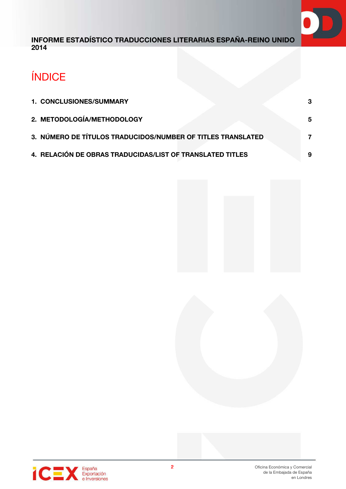

# ÍNDICE

| 1. CONCLUSIONES/SUMMARY                                     |   |
|-------------------------------------------------------------|---|
| 2. METODOLOGÍA/METHODOLOGY                                  |   |
| 3. NÚMERO DE TÍTULOS TRADUCIDOS/NUMBER OF TITLES TRANSLATED |   |
| 4. RELACIÓN DE OBRAS TRADUCIDAS/LIST OF TRANSLATED TITLES   | 9 |

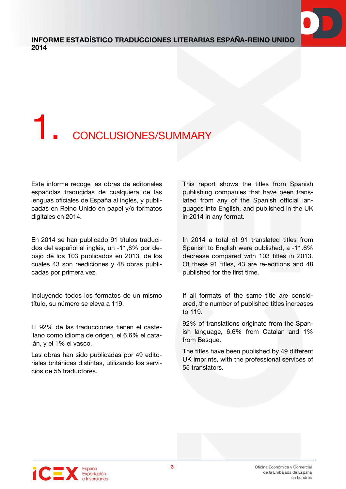

# 1. CONCLUSIONES/SUMMARY

Este informe recoge las obras de editoriales españolas traducidas de cualquiera de las lenguas oficiales de España al inglés, y publicadas en Reino Unido en papel y/o formatos digitales en 2014.

En 2014 se han publicado 91 títulos traducidos del español al inglés, un -11,6% por debajo de los 103 publicados en 2013, de los cuales 43 son reediciones y 48 obras publicadas por primera vez.

Incluyendo todos los formatos de un mismo título, su número se eleva a 119.

El 92% de las traducciones tienen el castellano como idioma de origen, el 6.6% el catalán, y el 1% el vasco.

Las obras han sido publicadas por 49 editoriales británicas distintas, utilizando los servicios de 55 traductores.

This report shows the titles from Spanish publishing companies that have been translated from any of the Spanish official languages into English, and published in the UK in 2014 in any format.

In 2014 a total of 91 translated titles from Spanish to English were published, a -11.6% decrease compared with 103 titles in 2013. Of these 91 titles, 43 are re-editions and 48 published for the first time.

If all formats of the same title are considered, the number of published titles increases to 119.

92% of translations originate from the Spanish language, 6.6% from Catalan and 1% from Basque.

The titles have been published by 49 different UK imprints, with the professional services of 55 translators.

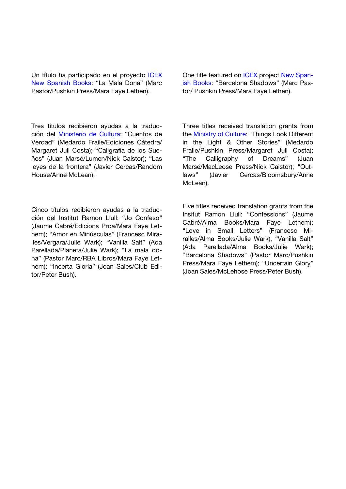Un título ha participado en el proyecto ICEX New Spanish Books: "La Mala Dona" (Marc Pastor/Pushkin Press/Mara Faye Lethen).

Tres títulos recibieron ayudas a la traducción del Ministerio de Cultura: "Cuentos de Verdad" (Medardo Fraile/Ediciones Cátedra/ Margaret Jull Costa); "Caligrafía de los Sueños" (Juan Marsé/Lumen/Nick Caistor); "Las leyes de la frontera" (Javier Cercas/Random House/Anne McLean).

Cinco títulos recibieron ayudas a la traducción del Institut Ramon Llull: "Jo Confeso" (Jaume Cabré/Edicions Proa/Mara Faye Lethem); "Amor en Minúsculas" (Francesc Miralles/Vergara/Julie Wark); "Vanilla Salt" (Ada Parellada/Planeta/Julie Wark); "La mala dona" (Pastor Marc/RBA Libros/Mara Faye Lethem); "Incerta Gloria" (Joan Sales/Club Editor/Peter Bush).

One title featured on ICEX project New Spanish Books: "Barcelona Shadows" (Marc Pastor/ Pushkin Press/Mara Faye Lethen).

Three titles received translation grants from the **Ministry of Culture**: "Things Look Different in the Light & Other Stories" (Medardo Fraile/Pushkin Press/Margaret Jull Costa); "The Calligraphy of Dreams" (Juan Marsé/MacLeose Press/Nick Caistor); "Outlaws" (Javier Cercas/Bloomsbury/Anne McLean).

Five titles received translation grants from the Insitut Ramon Llull: "Confessions" (Jaume Cabré/Alma Books/Mara Faye Lethem); "Love in Small Letters" (Francesc Miralles/Alma Books/Julie Wark); "Vanilla Salt" (Ada Parellada/Alma Books/Julie Wark); "Barcelona Shadows" (Pastor Marc/Pushkin Press/Mara Faye Lethem); "Uncertain Glory" (Joan Sales/McLehose Press/Peter Bush).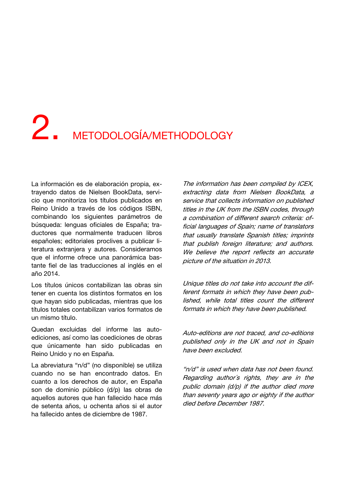# 2. METODOLOGÍA/METHODOLOGY

La información es de elaboración propia, extrayendo datos de Nielsen BookData, servicio que monitoriza los títulos publicados en Reino Unido a través de los códigos ISBN, combinando los siguientes parámetros de búsqueda: lenguas oficiales de España; traductores que normalmente traducen libros españoles; editoriales proclives a publicar literatura extranjera y autores. Consideramos que el informe ofrece una panorámica bastante fiel de las traducciones al inglés en el año 2014.

Los títulos únicos contabilizan las obras sin tener en cuenta los distintos formatos en los que hayan sido publicadas, mientras que los títulos totales contabilizan varios formatos de un mismo título.

Quedan excluidas del informe las autoediciones, así como las coediciones de obras que únicamente han sido publicadas en Reino Unido y no en España.

La abreviatura "n/d" (no disponible) se utiliza cuando no se han encontrado datos. En cuanto a los derechos de autor, en España son de dominio público (d/p) las obras de aquellos autores que han fallecido hace más de setenta años, u ochenta años si el autor ha fallecido antes de diciembre de 1987.

The information has been compiled by ICEX, extracting data from Nielsen BookData, a service that collects information on published titles in the UK from the ISBN codes, through a combination of different search criteria: official languages of Spain; name of translators that usually translate Spanish titles; imprints that publish foreign literature; and authors. We believe the report reflects an accurate picture of the situation in 2013.

Unique titles do not take into account the different formats in which they have been published, while total titles count the different formats in which they have been published.

Auto-editions are not traced, and co-editions published only in the UK and not in Spain have been excluded.

"n/d" is used when data has not been found. Regarding author´s rights, they are in the public domain (d/p) if the author died more than seventy years ago or eighty if the author died before December 1987.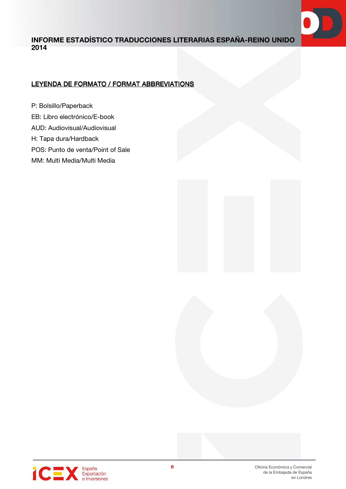

# LEYENDA DE FORMATO / FORMAT ABBREVIATIONS

- P: Bolsillo/Paperback EB: Libro electrónico/E-book AUD: Audiovisual/Audiovisual H: Tapa dura/Hardback POS: Punto de venta/Point of Sale
- MM: Multi Media/Multi Media





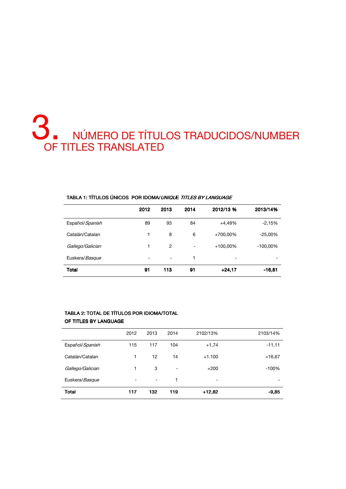# 3. NÚMERO DE TÍTULOS TRADUCIDOS/NUMBER OF TITLES TRANSLATED

|                  | 2012                     | 2013           | 2014                     | 2012/13 %   | 2013/14%   |
|------------------|--------------------------|----------------|--------------------------|-------------|------------|
| Español/Spanish  | 89                       | 93             | 84                       | $+4,49%$    | $-2,15%$   |
| Catalán/Catalan  | 1                        | 8              | 6                        | +700,00%    | $-25,00%$  |
| Gallego/Galician | 1                        | $\overline{2}$ | $\overline{\phantom{0}}$ | $+100,00\%$ | $-100,00%$ |
| Euskera/Basque   | $\overline{\phantom{a}}$ | ۰              | 1                        | ۰           |            |
| Total            | 91                       | 113            | 91                       | $+24,17$    | $-16,81$   |

#### TABLA 1: TÍTULOS ÚNICOS POR IDOMA/ UNIQUE TITLES BY LANGUAGE

#### TABLA 2: TOTAL DE TÍTULOS POR IDIOMA/TOTAL

#### OF TITLES BY LANGUAGE

|                  | 2012 | 2013                     | 2014                         | 2102/13%                 | 2103/14% |
|------------------|------|--------------------------|------------------------------|--------------------------|----------|
| Español/Spanish  | 115  | 117                      | 104                          | $+1,74$                  | $-11,11$ |
| Catalán/Catalan  | 1    | 12                       | 14                           | $+1.100$                 | $+16,67$ |
| Gallego/Galician | 1    | 3                        | $\qquad \qquad \blacksquare$ | $+200$                   | $-100%$  |
| Euskera/Basque   | ۰    | $\overline{\phantom{0}}$ | 1                            | $\overline{\phantom{0}}$ |          |
| <b>Total</b>     | 117  | 132                      | 119                          | $+12,82$                 | $-9,85$  |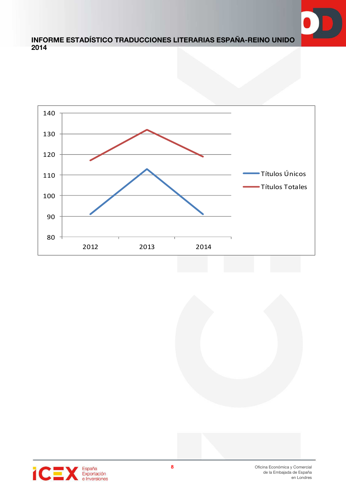



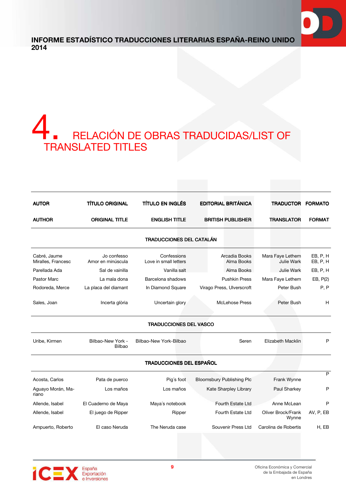

# A RELACIÓN DE OBRAS TRADUCIDAS/LIST OF TRANSLATED TITLES

| <b>AUTOR</b>                       | <b>TÍTULO ORIGINAL</b>           | <b>TÍTULO EN INGLÉS</b>              | <b>EDITORIAL BRITÁNICA</b>       | TRADUCTOR FORMATO                     |                      |
|------------------------------------|----------------------------------|--------------------------------------|----------------------------------|---------------------------------------|----------------------|
| <b>AUTHOR</b>                      | <b>ORIGINAL TITLE</b>            | <b>ENGLISH TITLE</b>                 | <b>BRITISH PUBLISHER</b>         | <b>TRANSLATOR</b>                     | <b>FORMAT</b>        |
|                                    |                                  | <b>TRADUCCIONES DEL CATALÁN</b>      |                                  |                                       |                      |
| Cabré, Jaume<br>Miralles, Francesc | Jo confesso<br>Amor en minúscula | Confessions<br>Love in small letters | Arcadia Books<br>Alma Books      | Mara Faye Lethem<br><b>Julie Wark</b> | EB, P, H<br>EB, P, H |
| Parellada Ada                      | Sal de vainilla                  | Vanilla salt                         | Alma Books                       | Julie Wark                            | EB, P, H             |
| Pastor Marc                        | La mala dona                     | Barcelona shadows                    | <b>Pushkin Press</b>             | Mara Faye Lethem                      | EB, P(2)             |
| Rodoreda, Merce                    | La placa del diamant             | In Diamond Square                    | Virago Press, Ulverscroft        | Peter Bush                            | P, P                 |
| Sales, Joan                        | Incerta glòria                   | Uncertain glory                      | McLehose Press                   | Peter Bush                            | н                    |
|                                    |                                  | <b>TRADUCCIONES DEL VASCO</b>        |                                  |                                       |                      |
| Uribe, Kirmen                      | Bilbao-New York -<br>Bilbao      | Bilbao-New York-Bilbao               | Seren                            | <b>Elizabeth Macklin</b>              | P                    |
|                                    |                                  | TRADUCCIONES DEL ESPAÑOL             |                                  |                                       |                      |
| Acosta, Carlos                     | Pata de puerco                   | Pig's foot                           | <b>Bloomsbury Publishing Plc</b> | Frank Wynne                           | P                    |
| Aguayo Morán, Ma-<br>riano         | Los maños                        | Los maños                            | Kate Sharpley Library            | Paul Sharkey                          | P                    |
| Allende, Isabel                    | El Cuaderno de Maya              | Maya's notebook                      | Fourth Estate Ltd                | Anne McLean                           | P                    |
| Allende, Isabel                    | El juego de Ripper               | Ripper                               | Fourth Estate Ltd                | Oliver Brock/Frank<br>Wynne           | AV, P, EB            |
| Ampuerto, Roberto                  | El caso Neruda                   | The Neruda case                      | Souvenir Press Ltd               | Carolina de Robertis                  | H, EB                |

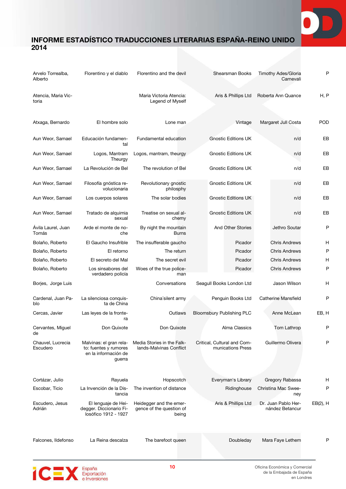

| Arvelo Torrealba,<br>Alberto  | Florentino y el diablo                                                             | Florentino and the devil                                     | <b>Shearsman Books</b>                           | Timothy Ades/Gloria<br>Carnevali       | P           |
|-------------------------------|------------------------------------------------------------------------------------|--------------------------------------------------------------|--------------------------------------------------|----------------------------------------|-------------|
| Atencia, Maria Vic-<br>toria  |                                                                                    | Maria Victoria Atencia:<br>Legend of Myself                  | Aris & Phillips Ltd                              | Roberta Ann Quance                     | H, P        |
| Atxaga, Bernardo              | El hombre solo                                                                     | Lone man                                                     | Vintage                                          | Margaret Jull Costa                    | POD         |
| Aun Weor, Samael              | Educación fundamen-<br>tal                                                         | Fundamental education                                        | <b>Gnostic Editions UK</b>                       | n/d                                    | EB          |
| Aun Weor, Samael              | Logos, Mantram<br>Theurgy                                                          | Logos, mantram, theurgy                                      | <b>Gnostic Editions UK</b>                       | n/d                                    | EB          |
| Aun Weor, Samael              | La Revolución de Bel                                                               | The revolution of Bel                                        | <b>Gnostic Editions UK</b>                       | n/d                                    | EB          |
| Aun Weor, Samael              | Filosofía gnóstica re-<br>volucionaria                                             | Revolutionary gnostic<br>philosphy                           | <b>Gnostic Editions UK</b>                       | n/d                                    | EB          |
| Aun Weor, Samael              | Los cuerpos solares                                                                | The solar bodies                                             | <b>Gnostic Editions UK</b>                       | n/d                                    | EB          |
| Aun Weor, Samael              | Tratado de alquimia<br>sexual                                                      | Treatise on sexual al-<br>chemy                              | <b>Gnostic Editions UK</b>                       | n/d                                    | EB          |
| Ávila Laurel, Juan<br>Tomás   | Arde el monte de no-<br>che                                                        | By night the mountain<br><b>Burns</b>                        | And Other Stories                                | Jethro Soutar                          | P           |
| Bolaño, Roberto               | El Gaucho Insufrible                                                               | The insufferable gaucho                                      | Picador                                          | <b>Chris Andrews</b>                   | Η           |
| Bolaño, Roberto               | El retorno                                                                         | The return                                                   | Picador                                          | <b>Chris Andrews</b>                   | P           |
| Bolaño, Roberto               | El secreto del Mal                                                                 | The secret evil                                              | Picador                                          | <b>Chris Andrews</b>                   | Η           |
| Bolaño, Roberto               | Los sinsabores del<br>verdadero policía                                            | Woes of the true police-<br>man                              | Picador                                          | <b>Chris Andrews</b>                   | P           |
| Borjes, Jorge Luis            |                                                                                    | Conversations                                                | Seagull Books London Ltd                         | Jason Wilson                           | н           |
| Cardenal, Juan Pa-<br>blo     | La silenciosa conquis-<br>ta de China                                              | China'silent army                                            | Penguin Books Ltd                                | <b>Catherine Mansfield</b>             | P           |
| Cercas, Javier                | Las leyes de la fronte-<br>ra                                                      | Outlaws                                                      | <b>Bloomsbury Publishing PLC</b>                 | Anne McLean                            | EB, H       |
| Cervantes, Miguel<br>de       | Don Quixote                                                                        | Don Quixote                                                  | Alma Classics                                    | Tom Lathrop                            | P           |
| Chauvel, Lucrecia<br>Escudero | Malvinas: el gran rela-<br>to: fuentes y rumores<br>en la información de<br>guerra | Media Stories in the Falk-<br>lands-Malvinas Conflict        | Critical, Cultural and Com-<br>munications Press | Guillermo Olivera                      | P           |
| Cortázar, Julio               | Rayuela                                                                            | Hopscotch                                                    | Everyman's Library                               | Gregory Rabassa                        | н           |
| Escobar, Ticio                | La Invención de la Dis-<br>tancia                                                  | The invention of distance                                    | Ridinghouse                                      | Christina Mac Swee-<br>ney             | P           |
| Escudero, Jesus<br>Adrián     | El lenguaje de Hei-<br>degger. Diccionario Fi-<br>losófico 1912 - 1927             | Heidegger and the emer-<br>gence of the question of<br>being | Aris & Phillips Ltd                              | Dr. Juan Pablo Her-<br>nández Betancur | $EB(2)$ , H |
| Falcones, Ildefonso           | La Reina descalza                                                                  | The barefoot queen                                           | Doubleday                                        | Mara Faye Lethem                       | P           |

España<br>Exportación<br>e Inversiones **iCE**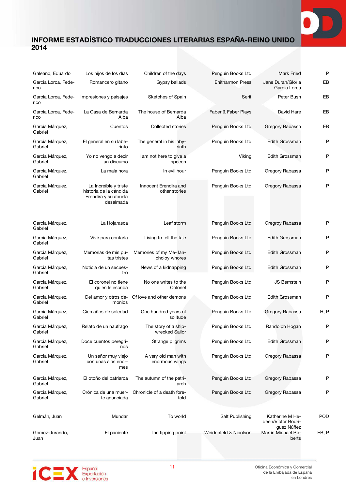| Galeano, Eduardo            | Los hijos de los días                                                                | Children of the days                          | Penguin Books Ltd       | <b>Mark Fried</b>                                   | Ρ          |
|-----------------------------|--------------------------------------------------------------------------------------|-----------------------------------------------|-------------------------|-----------------------------------------------------|------------|
| Garcia Lorca, Fede-<br>rico | Romancero gitano                                                                     | Gypsy ballads                                 | <b>Enitharmon Press</b> | Jane Duran/Gloria<br>Garcia Lorca                   | EB         |
| Garcia Lorca, Fede-<br>rico | Impresiones y paisajes                                                               | Sketches of Spain                             | Serif                   | Peter Bush                                          | EB         |
| Garcia Lorca, Fede-<br>rico | La Casa de Bernarda<br>Alba                                                          | The house of Bernarda<br>Alba                 | Faber & Faber Plays     | David Hare                                          | EВ         |
| Garcia Márquez,<br>Gabriel  | Cuentos                                                                              | Collected stories                             | Penguin Books Ltd       | Gregory Rabassa                                     | EВ         |
| Garcia Márquez,<br>Gabriel  | El general en su labe-<br>rinto                                                      | The general in his laby-<br>rinth             | Penguin Books Ltd       | <b>Edith Grossman</b>                               | P          |
| Garcia Márquez,<br>Gabriel  | Yo no vengo a decir<br>un discurso                                                   | I am not here to give a<br>speech             | Viking                  | Edith Grossman                                      | Ρ          |
| Garcia Márquez,<br>Gabriel  | La mala hora                                                                         | In evil hour                                  | Penguin Books Ltd       | Gregory Rabassa                                     | Ρ          |
| Garcia Márquez,<br>Gabriel  | La Increíble y triste<br>historia de la cándida<br>Erendira y su abuela<br>desalmada | Innocent Erendira and<br>other stories        | Penguin Books Ltd       | Gregory Rabassa                                     | Ρ          |
| Garcia Márquez,<br>Gabriel  | La Hojarasca                                                                         | Leaf storm                                    | Penguin Books Ltd       | Gregroy Rabassa                                     | Ρ          |
| Garcia Márquez,<br>Gabriel  | Vivir para contarla                                                                  | Living to tell the tale                       | Penguin Books Ltd       | Edith Grossman                                      | Ρ          |
| Garcia Márquez,<br>Gabriel  | Memorias de mis pu-<br>tas tristes                                                   | Memories of my Me- lan-<br>choloy whores      | Penguin Books Ltd       | Edith Grossman                                      | P          |
| Garcia Márquez,<br>Gabriel  | Noticia de un secues-<br>tro                                                         | News of a kidnapping                          | Penguin Books Ltd       | Edith Grossman                                      | Ρ          |
| Garcia Márquez,<br>Gabriel  | El coronel no tiene<br>quien le escriba                                              | No one writes to the<br>Colonel               | Penguin Books Ltd       | <b>JS Bernstein</b>                                 | Ρ          |
| Garcia Márquez,<br>Gabriel  | monios                                                                               | Del amor y otros de- Of love and other demons | Penguin Books Ltd       | <b>Edith Grossman</b>                               | P          |
| Garcia Márquez,<br>Gabriel  | Cien años de soledad                                                                 | One hundred years of<br>solitude              | Penguin Books Ltd       | Gregory Rabassa                                     | H, P       |
| Garcia Márquez,<br>Gabriel  | Relato de un naufrago                                                                | The story of a ship-<br>wrecked Sailor        | Penguin Books Ltd       | Randolph Hogan                                      | Ρ          |
| Garcia Márquez,<br>Gabriel  | Doce cuentos peregri-<br>nos                                                         | Strange pilgrims                              | Penguin Books Ltd       | Edith Grossman                                      | Ρ          |
| Garcia Márquez,<br>Gabriel  | Un señor muy viejo<br>con unas alas enor-<br>mes                                     | A very old man with<br>enormous wings         | Penguin Books Ltd       | Gregory Rabassa                                     | P          |
| Garcia Márquez,<br>Gabriel  | El otoño del patriarca                                                               | The autumn of the patri-<br>arch              | Penguin Books Ltd       | Gregory Rabassa                                     | Ρ          |
| Garcia Márquez,<br>Gabriel  | Crónica de una muer-<br>te anunciada                                                 | Chronicle of a death fore-<br>told            | Penguin Books Ltd       | Gregory Rabassa                                     | Ρ          |
| Gelmán, Juan                | Mundar                                                                               | To world                                      | Salt Publishing         | Katherine M He-<br>deen/Víctor Rodri-<br>guez Núñez | <b>POD</b> |
| Gomez-Jurando,<br>Juan      | El paciente                                                                          | The tipping point                             | Weidenfeld & Nicolson   | Martin Michael Ro-<br>berts                         | EB, P      |

España<br>Exportación<br>e Inversiones **iCE**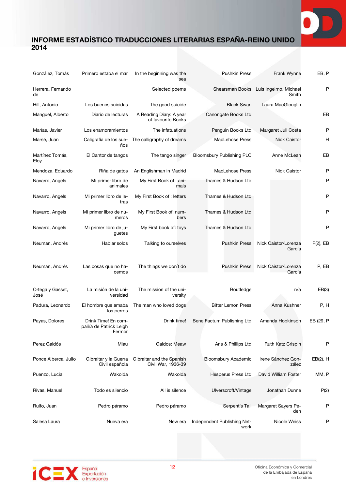

| González, Tomás          | Primero estaba el mar                                   | In the beginning was the<br>sea                 | <b>Pushkin Press</b>                | Frank Wynne                                    | EB, P       |
|--------------------------|---------------------------------------------------------|-------------------------------------------------|-------------------------------------|------------------------------------------------|-------------|
| Herrera, Fernando<br>de  |                                                         | Selected poems                                  |                                     | Shearsman Books Luis Ingelmo, Michael<br>Smith | P           |
| Hill, Antonio            | Los buenos suicidas                                     | The good suicide                                | <b>Black Swan</b>                   | Laura MacGlouglin                              |             |
| Manguel, Alberto         | Diario de lecturas                                      | A Reading Diary: A year<br>of favourite Books   | Canongate Books Ltd                 |                                                | EB          |
| Marías, Javier           | Los enamoramientos                                      | The infatuations                                | Penguin Books Ltd                   | Margaret Jull Costa                            | P           |
| Marsé, Juan              | Caligrafía de los sue-<br>ños                           | The calligraphy of dreams                       | MacLehose Press                     | <b>Nick Caistor</b>                            | н           |
| Martínez Tomás,<br>Eloy  | El Cantor de tangos                                     | The tango singer                                | <b>Bloomsbury Publishing PLC</b>    | Anne McLean                                    | EB          |
| Mendoza, Eduardo         | Riña de gatos                                           | An Englishman in Madrid                         | MacLehose Press                     | Nick Caistor                                   | P           |
| Navarro, Angels          | Mi primer libro de<br>animales                          | My First Book of : ani-<br>mals                 | Thames & Hudson Ltd                 |                                                | P           |
| Navarro, Angels          | Mi primer libro de le-<br>tras                          | My First Book of : letters                      | Thames & Hudson Ltd                 |                                                | P           |
| Navarro, Angels          | Mi primer libro de nú-<br>meros                         | My First Book of: num-<br>bers                  | Thames & Hudson Ltd                 |                                                | P           |
| Navarro, Angels          | Mi primer libro de ju-<br>guetes                        | My First book of: toys                          | Thames & Hudson Ltd                 |                                                | P           |
| Neuman, Andrés           | Hablar solos                                            | Talking to ourselves                            | <b>Pushkin Press</b>                | Nick Caistor/Lorenza<br>García                 | $P(2)$ , EB |
| Neuman, Andrés           | Las cosas que no ha-<br>cemos                           | The things we don't do                          | <b>Pushkin Press</b>                | Nick Caistor/Lorenza<br>García                 | P, EB       |
| Ortega y Gasset,<br>José | La misión de la uni-<br>versidad                        | The mission of the uni-<br>versity              | Routledge                           | n/a                                            | EB(3)       |
| Padura, Leonardo         | El hombre que amaba<br>los perros                       | The man who loved dogs                          | <b>Bitter Lemon Press</b>           | Anna Kushner                                   | P, H        |
| Payas, Dolores           | Drink Time! En com-<br>pañía de Patrick Leigh<br>Fermor | Drink time!                                     | Bene Factum Publishing Ltd          | Amanda Hopkinson                               | EB (29, P   |
| Perez Galdós             | Miau                                                    | Galdos: Meaw                                    | Aris & Phillips Ltd                 | Ruth Katz Crispin                              | P           |
| Ponce Alberca, Julio     | Gibraltar y la Guerra<br>Civil española                 | Gibraltar and the Spanish<br>Civil War, 1936-39 | <b>Bloomsbury Academic</b>          | Irene Sánchez Gon-<br>zález                    | $EB(2)$ , H |
| Puenzo, Lucia            | Wakolda                                                 | Wakolda                                         | <b>Hesperus Press Ltd</b>           | David William Foster                           | MM, P       |
| Rivas, Manuel            | Todo es silencio                                        | All is silence                                  | Ulverscroft/Vintage                 | Jonathan Dunne                                 | P(2)        |
| Rulfo, Juan              | Pedro páramo                                            | Pedro páramo                                    | Serpent's Tail                      | Margaret Sayers Pe-<br>den                     | P           |
| Salesa Laura             | Nueva era                                               | New era                                         | Independent Publishing Net-<br>work | Nicole Weiss                                   | P           |